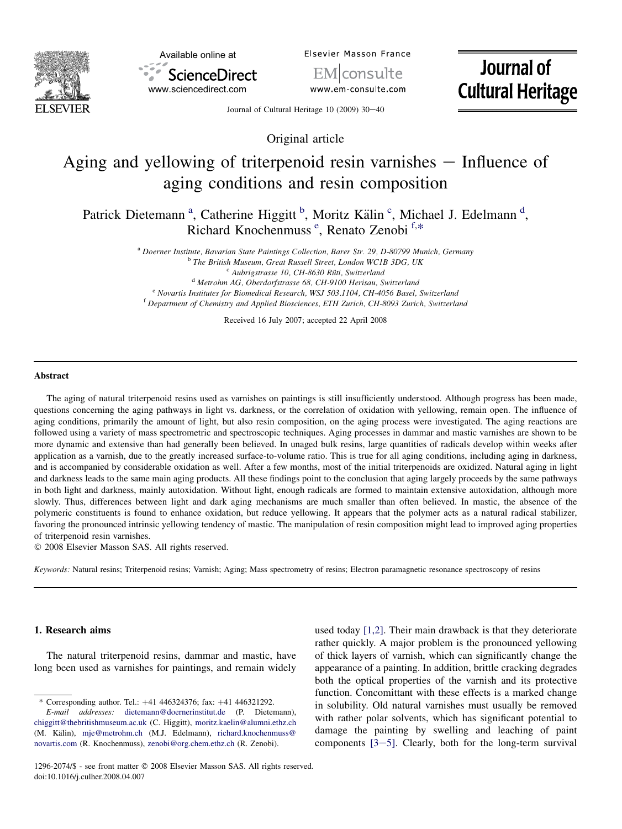

Available online at ScienceDirect www.sciencedirect.com

**Fisevier Masson France** 

consulte www.em-consulte.com



Journal of Cultural Heritage  $10$  (2009) 30-40

Original article

# Aging and yellowing of triterpenoid resin varnishes  $-$  Influence of aging conditions and resin composition

Patrick Dietemann<sup>a</sup>, Catherine Higgitt<sup>b</sup>, Moritz Kälin<sup>c</sup>, Michael J. Edelmann<sup>d</sup>, Richard Knochenmuss<sup>e</sup>, Renato Zenobi<sup>f,\*</sup>

*a Doerner Institute, Bavarian State Paintings Collection, Barer Str. 29, D-80799 Munich, Germany*<br><sup>b</sup> The British Museum, Great Russell Street, London WCIB 3DG, UK<br><sup>c</sup> Aubrigstrasse 10, CH-8630 Rüti, Switzerland<br><sup>d</sup> Metr

Received 16 July 2007; accepted 22 April 2008

# Abstract

The aging of natural triterpenoid resins used as varnishes on paintings is still insufficiently understood. Although progress has been made, questions concerning the aging pathways in light vs. darkness, or the correlation of oxidation with yellowing, remain open. The influence of aging conditions, primarily the amount of light, but also resin composition, on the aging process were investigated. The aging reactions are followed using a variety of mass spectrometric and spectroscopic techniques. Aging processes in dammar and mastic varnishes are shown to be more dynamic and extensive than had generally been believed. In unaged bulk resins, large quantities of radicals develop within weeks after application as a varnish, due to the greatly increased surface-to-volume ratio. This is true for all aging conditions, including aging in darkness, and is accompanied by considerable oxidation as well. After a few months, most of the initial triterpenoids are oxidized. Natural aging in light and darkness leads to the same main aging products. All these findings point to the conclusion that aging largely proceeds by the same pathways in both light and darkness, mainly autoxidation. Without light, enough radicals are formed to maintain extensive autoxidation, although more slowly. Thus, differences between light and dark aging mechanisms are much smaller than often believed. In mastic, the absence of the polymeric constituents is found to enhance oxidation, but reduce yellowing. It appears that the polymer acts as a natural radical stabilizer, favoring the pronounced intrinsic yellowing tendency of mastic. The manipulation of resin composition might lead to improved aging properties of triterpenoid resin varnishes.

- 2008 Elsevier Masson SAS. All rights reserved.

Keywords: Natural resins; Triterpenoid resins; Varnish; Aging; Mass spectrometry of resins; Electron paramagnetic resonance spectroscopy of resins

## 1. Research aims

The natural triterpenoid resins, dammar and mastic, have long been used as varnishes for paintings, and remain widely used today [\[1,2\]](#page-9-0). Their main drawback is that they deteriorate rather quickly. A major problem is the pronounced yellowing of thick layers of varnish, which can significantly change the appearance of a painting. In addition, brittle cracking degrades both the optical properties of the varnish and its protective function. Concomittant with these effects is a marked change in solubility. Old natural varnishes must usually be removed with rather polar solvents, which has significant potential to damage the painting by swelling and leaching of paint components  $[3-5]$  $[3-5]$ . Clearly, both for the long-term survival

<sup>\*</sup> Corresponding author. Tel.:  $+41$  446324376; fax:  $+41$  446321292.

E-mail addresses: [dietemann@doernerinstitut.de](mailto:dietemann@doernerinstitut.de) (P. Dietemann), [chiggitt@thebritishmuseum.ac.uk](mailto:chiggitt@thebritishmuseum.ac.uk) (C. Higgitt), [moritz.kaelin@alumni.ethz.ch](mailto:moritz.kaelin@alumni.ethz.ch) (M. Kälin), [mje@metrohm.ch](mailto:mje@metrohm.ch) (M.J. Edelmann), [richard.knochenmuss@](mailto:richard.knochenmuss@novartis.com) [novartis.com](mailto:richard.knochenmuss@novartis.com) (R. Knochenmuss), [zenobi@org.chem.ethz.ch](mailto:zenobi@org.chem.ethz.ch) (R. Zenobi).

<sup>1296-2074/\$ -</sup> see front matter © 2008 Elsevier Masson SAS. All rights reserved. doi:10.1016/j.culher.2008.04.007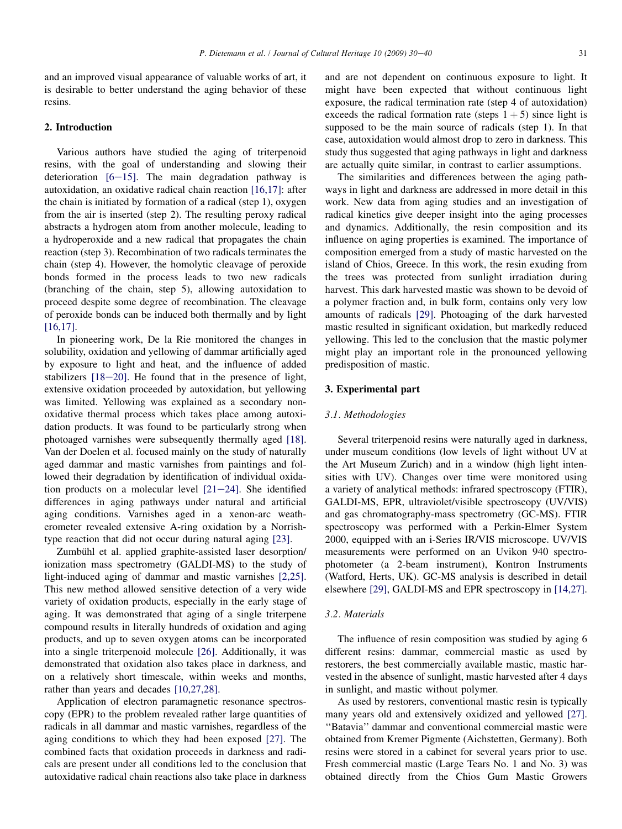and an improved visual appearance of valuable works of art, it is desirable to better understand the aging behavior of these resins.

## 2. Introduction

Various authors have studied the aging of triterpenoid resins, with the goal of understanding and slowing their deterioration  $[6-15]$  $[6-15]$  $[6-15]$ . The main degradation pathway is autoxidation, an oxidative radical chain reaction [\[16,17\]](#page-10-0): after the chain is initiated by formation of a radical (step 1), oxygen from the air is inserted (step 2). The resulting peroxy radical abstracts a hydrogen atom from another molecule, leading to a hydroperoxide and a new radical that propagates the chain reaction (step 3). Recombination of two radicals terminates the chain (step 4). However, the homolytic cleavage of peroxide bonds formed in the process leads to two new radicals (branching of the chain, step 5), allowing autoxidation to proceed despite some degree of recombination. The cleavage of peroxide bonds can be induced both thermally and by light [\[16,17\].](#page-10-0)

In pioneering work, De la Rie monitored the changes in solubility, oxidation and yellowing of dammar artificially aged by exposure to light and heat, and the influence of added stabilizers  $[18-20]$  $[18-20]$ . He found that in the presence of light, extensive oxidation proceeded by autoxidation, but yellowing was limited. Yellowing was explained as a secondary nonoxidative thermal process which takes place among autoxidation products. It was found to be particularly strong when photoaged varnishes were subsequently thermally aged [\[18\]](#page-10-0). Van der Doelen et al. focused mainly on the study of naturally aged dammar and mastic varnishes from paintings and followed their degradation by identification of individual oxidation products on a molecular level  $[21-24]$  $[21-24]$ . She identified differences in aging pathways under natural and artificial aging conditions. Varnishes aged in a xenon-arc weatherometer revealed extensive A-ring oxidation by a Norrishtype reaction that did not occur during natural aging [\[23\].](#page-10-0)

Zumbühl et al. applied graphite-assisted laser desorption/ ionization mass spectrometry (GALDI-MS) to the study of light-induced aging of dammar and mastic varnishes [\[2,25\]](#page-9-0). This new method allowed sensitive detection of a very wide variety of oxidation products, especially in the early stage of aging. It was demonstrated that aging of a single triterpene compound results in literally hundreds of oxidation and aging products, and up to seven oxygen atoms can be incorporated into a single triterpenoid molecule [\[26\].](#page-10-0) Additionally, it was demonstrated that oxidation also takes place in darkness, and on a relatively short timescale, within weeks and months, rather than years and decades [\[10,27,28\].](#page-9-0)

Application of electron paramagnetic resonance spectroscopy (EPR) to the problem revealed rather large quantities of radicals in all dammar and mastic varnishes, regardless of the aging conditions to which they had been exposed [\[27\]](#page-10-0). The combined facts that oxidation proceeds in darkness and radicals are present under all conditions led to the conclusion that autoxidative radical chain reactions also take place in darkness

and are not dependent on continuous exposure to light. It might have been expected that without continuous light exposure, the radical termination rate (step 4 of autoxidation) exceeds the radical formation rate (steps  $1 + 5$ ) since light is supposed to be the main source of radicals (step 1). In that case, autoxidation would almost drop to zero in darkness. This study thus suggested that aging pathways in light and darkness are actually quite similar, in contrast to earlier assumptions.

The similarities and differences between the aging pathways in light and darkness are addressed in more detail in this work. New data from aging studies and an investigation of radical kinetics give deeper insight into the aging processes and dynamics. Additionally, the resin composition and its influence on aging properties is examined. The importance of composition emerged from a study of mastic harvested on the island of Chios, Greece. In this work, the resin exuding from the trees was protected from sunlight irradiation during harvest. This dark harvested mastic was shown to be devoid of a polymer fraction and, in bulk form, contains only very low amounts of radicals [\[29\]](#page-10-0). Photoaging of the dark harvested mastic resulted in significant oxidation, but markedly reduced yellowing. This led to the conclusion that the mastic polymer might play an important role in the pronounced yellowing predisposition of mastic.

# 3. Experimental part

#### 3.1. Methodologies

Several triterpenoid resins were naturally aged in darkness, under museum conditions (low levels of light without UV at the Art Museum Zurich) and in a window (high light intensities with UV). Changes over time were monitored using a variety of analytical methods: infrared spectroscopy (FTIR), GALDI-MS, EPR, ultraviolet/visible spectroscopy (UV/VIS) and gas chromatography-mass spectrometry (GC-MS). FTIR spectroscopy was performed with a Perkin-Elmer System 2000, equipped with an i-Series IR/VIS microscope. UV/VIS measurements were performed on an Uvikon 940 spectrophotometer (a 2-beam instrument), Kontron Instruments (Watford, Herts, UK). GC-MS analysis is described in detail elsewhere [\[29\],](#page-10-0) GALDI-MS and EPR spectroscopy in [\[14,27\]](#page-10-0).

## 3.2. Materials

The influence of resin composition was studied by aging 6 different resins: dammar, commercial mastic as used by restorers, the best commercially available mastic, mastic harvested in the absence of sunlight, mastic harvested after 4 days in sunlight, and mastic without polymer.

As used by restorers, conventional mastic resin is typically many years old and extensively oxidized and yellowed [\[27\]](#page-10-0). ''Batavia'' dammar and conventional commercial mastic were obtained from Kremer Pigmente (Aichstetten, Germany). Both resins were stored in a cabinet for several years prior to use. Fresh commercial mastic (Large Tears No. 1 and No. 3) was obtained directly from the Chios Gum Mastic Growers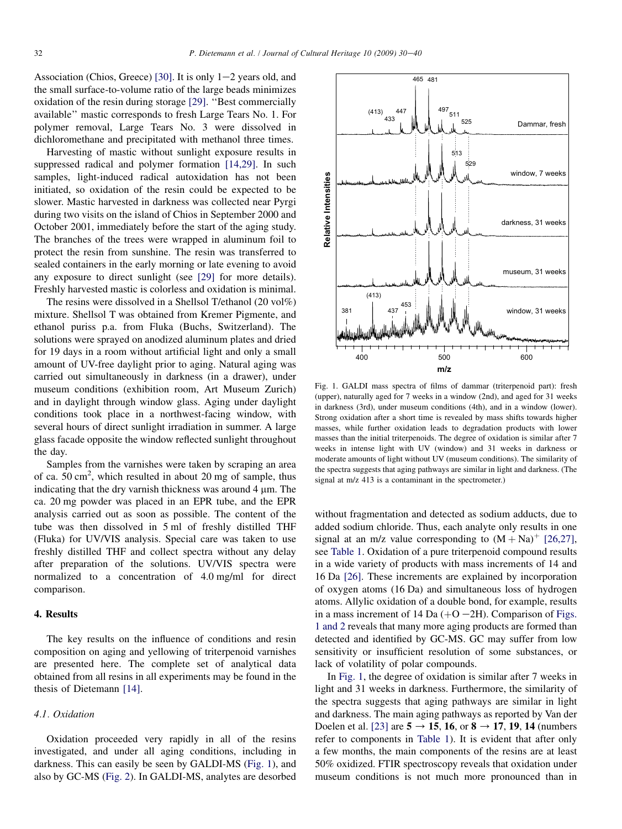<span id="page-2-0"></span>Association (Chios, Greece) [\[30\].](#page-10-0) It is only  $1-2$  years old, and the small surface-to-volume ratio of the large beads minimizes oxidation of the resin during storage [\[29\]](#page-10-0). ''Best commercially available'' mastic corresponds to fresh Large Tears No. 1. For polymer removal, Large Tears No. 3 were dissolved in dichloromethane and precipitated with methanol three times.

Harvesting of mastic without sunlight exposure results in suppressed radical and polymer formation [\[14,29\].](#page-10-0) In such samples, light-induced radical autoxidation has not been initiated, so oxidation of the resin could be expected to be slower. Mastic harvested in darkness was collected near Pyrgi during two visits on the island of Chios in September 2000 and October 2001, immediately before the start of the aging study. The branches of the trees were wrapped in aluminum foil to protect the resin from sunshine. The resin was transferred to sealed containers in the early morning or late evening to avoid any exposure to direct sunlight (see [\[29\]](#page-10-0) for more details). Freshly harvested mastic is colorless and oxidation is minimal.

The resins were dissolved in a Shellsol T/ethanol (20 vol%) mixture. Shellsol T was obtained from Kremer Pigmente, and ethanol puriss p.a. from Fluka (Buchs, Switzerland). The solutions were sprayed on anodized aluminum plates and dried for 19 days in a room without artificial light and only a small amount of UV-free daylight prior to aging. Natural aging was carried out simultaneously in darkness (in a drawer), under museum conditions (exhibition room, Art Museum Zurich) and in daylight through window glass. Aging under daylight conditions took place in a northwest-facing window, with several hours of direct sunlight irradiation in summer. A large glass facade opposite the window reflected sunlight throughout the day.

Samples from the varnishes were taken by scraping an area of ca.  $50 \text{ cm}^2$ , which resulted in about 20 mg of sample, thus indicating that the dry varnish thickness was around  $4 \mu m$ . The ca. 20 mg powder was placed in an EPR tube, and the EPR analysis carried out as soon as possible. The content of the tube was then dissolved in 5 ml of freshly distilled THF (Fluka) for UV/VIS analysis. Special care was taken to use freshly distilled THF and collect spectra without any delay after preparation of the solutions. UV/VIS spectra were normalized to a concentration of 4.0 mg/ml for direct comparison.

## 4. Results

The key results on the influence of conditions and resin composition on aging and yellowing of triterpenoid varnishes are presented here. The complete set of analytical data obtained from all resins in all experiments may be found in the thesis of Dietemann [\[14\]](#page-10-0).

# 4.1. Oxidation

Oxidation proceeded very rapidly in all of the resins investigated, and under all aging conditions, including in darkness. This can easily be seen by GALDI-MS (Fig. 1), and also by GC-MS [\(Fig. 2\)](#page-3-0). In GALDI-MS, analytes are desorbed



Fig. 1. GALDI mass spectra of films of dammar (triterpenoid part): fresh (upper), naturally aged for 7 weeks in a window (2nd), and aged for 31 weeks in darkness (3rd), under museum conditions (4th), and in a window (lower). Strong oxidation after a short time is revealed by mass shifts towards higher masses, while further oxidation leads to degradation products with lower masses than the initial triterpenoids. The degree of oxidation is similar after 7 weeks in intense light with UV (window) and 31 weeks in darkness or moderate amounts of light without UV (museum conditions). The similarity of the spectra suggests that aging pathways are similar in light and darkness. (The signal at m/z 413 is a contaminant in the spectrometer.)

without fragmentation and detected as sodium adducts, due to added sodium chloride. Thus, each analyte only results in one signal at an m/z value corresponding to  $(M + Na)^+$  [\[26,27\]](#page-10-0), see [Table 1.](#page-3-0) Oxidation of a pure triterpenoid compound results in a wide variety of products with mass increments of 14 and 16 Da [\[26\].](#page-10-0) These increments are explained by incorporation of oxygen atoms (16 Da) and simultaneous loss of hydrogen atoms. Allylic oxidation of a double bond, for example, results in a mass increment of 14 Da  $(+O-2H)$ . Comparison of Figs. 1 and 2 reveals that many more aging products are formed than detected and identified by GC-MS. GC may suffer from low sensitivity or insufficient resolution of some substances, or lack of volatility of polar compounds.

In Fig. 1, the degree of oxidation is similar after 7 weeks in light and 31 weeks in darkness. Furthermore, the similarity of the spectra suggests that aging pathways are similar in light and darkness. The main aging pathways as reported by Van der Doelen et al. [\[23\]](#page-10-0) are  $5 \rightarrow 15$ , 16, or  $8 \rightarrow 17$ , 19, 14 (numbers refer to components in [Table 1\)](#page-3-0). It is evident that after only a few months, the main components of the resins are at least 50% oxidized. FTIR spectroscopy reveals that oxidation under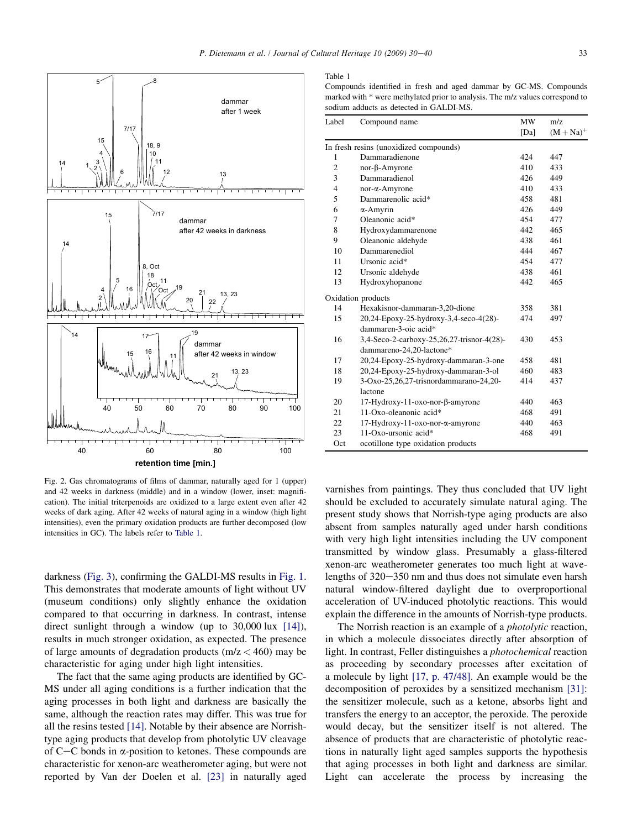<span id="page-3-0"></span>

Fig. 2. Gas chromatograms of films of dammar, naturally aged for 1 (upper) and 42 weeks in darkness (middle) and in a window (lower, inset: magnification). The initial triterpenoids are oxidized to a large extent even after 42 weeks of dark aging. After 42 weeks of natural aging in a window (high light intensities), even the primary oxidation products are further decomposed (low intensities in GC). The labels refer to Table 1.

darkness [\(Fig. 3\)](#page-4-0), confirming the GALDI-MS results in [Fig. 1](#page-2-0). This demonstrates that moderate amounts of light without UV (museum conditions) only slightly enhance the oxidation compared to that occurring in darkness. In contrast, intense direct sunlight through a window (up to 30,000 lux [\[14\]\)](#page-10-0), results in much stronger oxidation, as expected. The presence of large amounts of degradation products ( $m/z < 460$ ) may be characteristic for aging under high light intensities.

The fact that the same aging products are identified by GC-MS under all aging conditions is a further indication that the aging processes in both light and darkness are basically the same, although the reaction rates may differ. This was true for all the resins tested [\[14\]](#page-10-0). Notable by their absence are Norrishtype aging products that develop from photolytic UV cleavage of C-C bonds in  $\alpha$ -position to ketones. These compounds are characteristic for xenon-arc weatherometer aging, but were not reported by Van der Doelen et al. [\[23\]](#page-10-0) in naturally aged

#### Table 1

Compounds identified in fresh and aged dammar by GC-MS. Compounds marked with \* were methylated prior to analysis. The m/z values correspond to sodium adducts as detected in GALDI-MS.

| Label          | Compound name                                                          | <b>MW</b> | m/z          |
|----------------|------------------------------------------------------------------------|-----------|--------------|
|                |                                                                        | [Da]      | $(M + Na)^+$ |
|                | In fresh resins (unoxidized compounds)                                 |           |              |
| 1              | Dammaradienone                                                         | 424       | 447          |
| $\overline{2}$ | nor-β-Amyrone                                                          | 410       | 433          |
| 3              | Dammaradienol                                                          | 426       | 449          |
| $\overline{4}$ | nor-α-Amyrone                                                          | 410       | 433          |
| 5              | Dammarenolic acid*                                                     | 458       | 481          |
| 6              | $\alpha$ -Amyrin                                                       | 426       | 449          |
| 7              | Oleanonic acid*                                                        | 454       | 477          |
| 8              | Hydroxydammarenone                                                     | 442       | 465          |
| 9              | Oleanonic aldehyde                                                     | 438       | 461          |
| 10             | Dammarenediol                                                          | 444       | 467          |
| 11             | Ursonic acid*                                                          | 454       | 477          |
| 12             | Ursonic aldehyde                                                       | 438       | 461          |
| 13             | Hydroxyhopanone                                                        | 442       | 465          |
|                | Oxidation products                                                     |           |              |
| 14             | Hexakisnor-dammaran-3,20-dione                                         | 358       | 381          |
| 15             | 20,24-Epoxy-25-hydroxy-3,4-seco-4(28)-                                 | 474       | 497          |
|                | dammaren-3-oic acid*                                                   |           |              |
| 16             | 3,4-Seco-2-carboxy-25,26,27-trisnor-4(28)-<br>dammareno-24,20-lactone* | 430       | 453          |
| 17             | 20,24-Epoxy-25-hydroxy-dammaran-3-one                                  | 458       | 481          |
| 18             | 20,24-Epoxy-25-hydroxy-dammaran-3-ol                                   | 460       | 483          |
| 19             | 3-Oxo-25,26,27-trisnordammarano-24,20-                                 | 414       | 437          |
|                | lactone                                                                |           |              |
| 20             | 17-Hydroxy-11-oxo-nor-β-amyrone                                        | 440       | 463          |
| 21             | 11-Oxo-oleanonic acid*                                                 | 468       | 491          |
| 22             | 17-Hydroxy-11-oxo-nor-α-amyrone                                        | 440       | 463          |
| 23             | 11-Oxo-ursonic acid*                                                   | 468       | 491          |
| Oct            | ocotillone type oxidation products                                     |           |              |

varnishes from paintings. They thus concluded that UV light should be excluded to accurately simulate natural aging. The present study shows that Norrish-type aging products are also absent from samples naturally aged under harsh conditions with very high light intensities including the UV component transmitted by window glass. Presumably a glass-filtered xenon-arc weatherometer generates too much light at wavelengths of  $320-350$  nm and thus does not simulate even harsh natural window-filtered daylight due to overproportional acceleration of UV-induced photolytic reactions. This would explain the difference in the amounts of Norrish-type products.

The Norrish reaction is an example of a *photolytic* reaction, in which a molecule dissociates directly after absorption of light. In contrast, Feller distinguishes a photochemical reaction as proceeding by secondary processes after excitation of a molecule by light [\[17, p. 47/48\].](#page-10-0) An example would be the decomposition of peroxides by a sensitized mechanism [\[31\]:](#page-10-0) the sensitizer molecule, such as a ketone, absorbs light and transfers the energy to an acceptor, the peroxide. The peroxide would decay, but the sensitizer itself is not altered. The absence of products that are characteristic of photolytic reactions in naturally light aged samples supports the hypothesis that aging processes in both light and darkness are similar. Light can accelerate the process by increasing the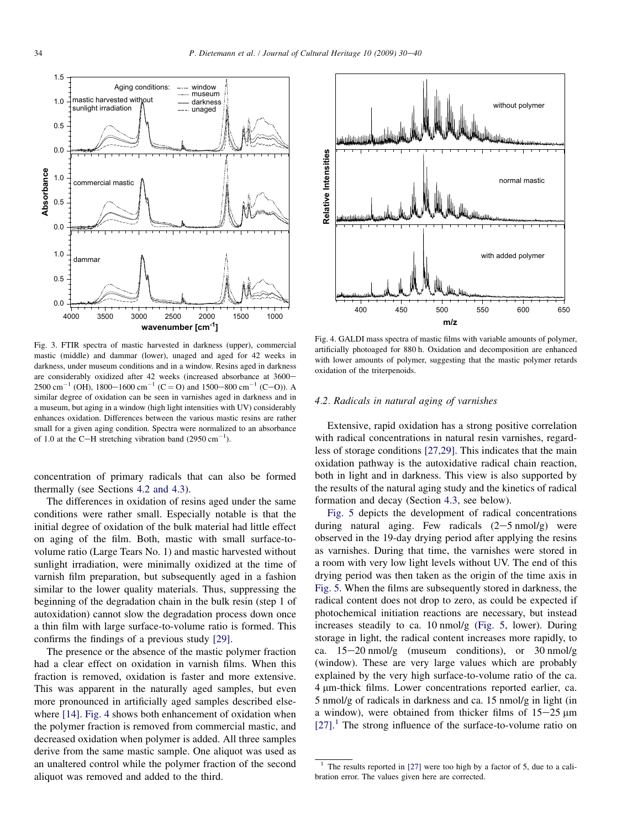<span id="page-4-0"></span>

Fig. 3. FTIR spectra of mastic harvested in darkness (upper), commercial mastic (middle) and dammar (lower), unaged and aged for 42 weeks in darkness, under museum conditions and in a window. Resins aged in darkness are considerably oxidized after 42 weeks (increased absorbance at 3600- $2500 \text{ cm}^{-1}$  (OH),  $1800-1600 \text{ cm}^{-1}$  (C = O) and  $1500-800 \text{ cm}^{-1}$  (C-O)). A similar degree of oxidation can be seen in varnishes aged in darkness and in a museum, but aging in a window (high light intensities with UV) considerably enhances oxidation. Differences between the various mastic resins are rather small for a given aging condition. Spectra were normalized to an absorbance of 1.0 at the C-H stretching vibration band  $(2950 \text{ cm}^{-1})$ .

concentration of primary radicals that can also be formed thermally (see Sections 4.2 and 4.3).

The differences in oxidation of resins aged under the same conditions were rather small. Especially notable is that the initial degree of oxidation of the bulk material had little effect on aging of the film. Both, mastic with small surface-tovolume ratio (Large Tears No. 1) and mastic harvested without sunlight irradiation, were minimally oxidized at the time of varnish film preparation, but subsequently aged in a fashion similar to the lower quality materials. Thus, suppressing the beginning of the degradation chain in the bulk resin (step 1 of autoxidation) cannot slow the degradation process down once a thin film with large surface-to-volume ratio is formed. This confirms the findings of a previous study [\[29\].](#page-10-0)

The presence or the absence of the mastic polymer fraction had a clear effect on oxidation in varnish films. When this fraction is removed, oxidation is faster and more extensive. This was apparent in the naturally aged samples, but even more pronounced in artificially aged samples described else-where [\[14\]](#page-10-0). Fig. 4 shows both enhancement of oxidation when the polymer fraction is removed from commercial mastic, and decreased oxidation when polymer is added. All three samples derive from the same mastic sample. One aliquot was used as an unaltered control while the polymer fraction of the second aliquot was removed and added to the third.



Fig. 4. GALDI mass spectra of mastic films with variable amounts of polymer, artificially photoaged for 880 h. Oxidation and decomposition are enhanced with lower amounts of polymer, suggesting that the mastic polymer retards oxidation of the triterpenoids.

# 4.2. Radicals in natural aging of varnishes

Extensive, rapid oxidation has a strong positive correlation with radical concentrations in natural resin varnishes, regardless of storage conditions [\[27,29\].](#page-10-0) This indicates that the main oxidation pathway is the autoxidative radical chain reaction, both in light and in darkness. This view is also supported by the results of the natural aging study and the kinetics of radical formation and decay (Section [4.3](#page-5-0), see below).

[Fig. 5](#page-5-0) depicts the development of radical concentrations during natural aging. Few radicals  $(2-5 \text{ nmol/g})$  were observed in the 19-day drying period after applying the resins as varnishes. During that time, the varnishes were stored in a room with very low light levels without UV. The end of this drying period was then taken as the origin of the time axis in [Fig. 5](#page-5-0). When the films are subsequently stored in darkness, the radical content does not drop to zero, as could be expected if photochemical initiation reactions are necessary, but instead increases steadily to ca. 10 nmol/g ([Fig. 5,](#page-5-0) lower). During storage in light, the radical content increases more rapidly, to ca.  $15-20$  nmol/g (museum conditions), or  $30$  nmol/g (window). These are very large values which are probably explained by the very high surface-to-volume ratio of the ca. 4 mm-thick films. Lower concentrations reported earlier, ca. 5 nmol/g of radicals in darkness and ca. 15 nmol/g in light (in a window), were obtained from thicker films of  $15-25 \mu m$ [\[27\]](#page-10-0).<sup>1</sup> The strong influence of the surface-to-volume ratio on

 $1$  The results reported in [\[27\]](#page-10-0) were too high by a factor of 5, due to a calibration error. The values given here are corrected.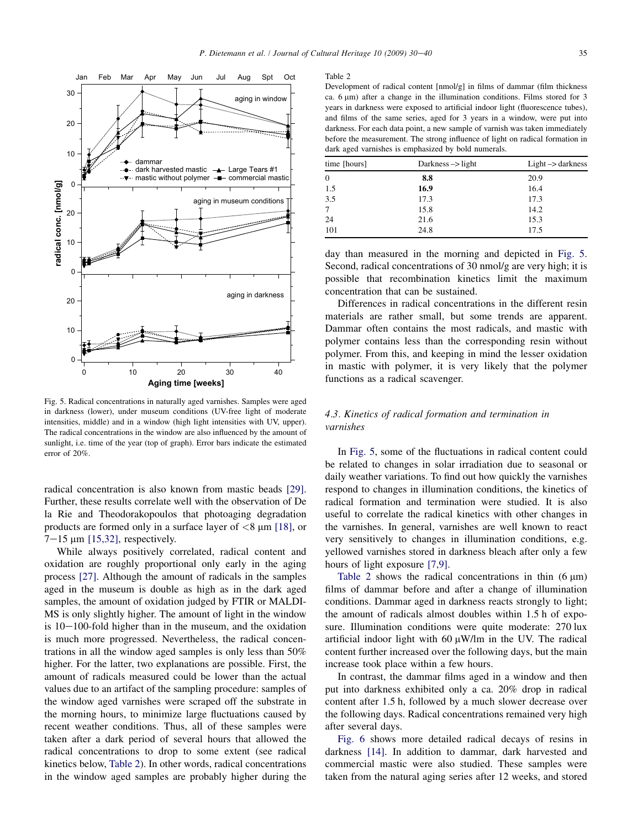<span id="page-5-0"></span>

Fig. 5. Radical concentrations in naturally aged varnishes. Samples were aged in darkness (lower), under museum conditions (UV-free light of moderate intensities, middle) and in a window (high light intensities with UV, upper). The radical concentrations in the window are also influenced by the amount of sunlight, i.e. time of the year (top of graph). Error bars indicate the estimated error of 20%.

radical concentration is also known from mastic beads [\[29\]](#page-10-0). Further, these results correlate well with the observation of De la Rie and Theodorakopoulos that photoaging degradation products are formed only in a surface layer of  $\langle 8 \mu m | 18 \rangle$ , or  $7-15$  µm [\[15,32\]](#page-10-0), respectively.

While always positively correlated, radical content and oxidation are roughly proportional only early in the aging process [\[27\]](#page-10-0). Although the amount of radicals in the samples aged in the museum is double as high as in the dark aged samples, the amount of oxidation judged by FTIR or MALDI-MS is only slightly higher. The amount of light in the window is  $10-100$ -fold higher than in the museum, and the oxidation is much more progressed. Nevertheless, the radical concentrations in all the window aged samples is only less than 50% higher. For the latter, two explanations are possible. First, the amount of radicals measured could be lower than the actual values due to an artifact of the sampling procedure: samples of the window aged varnishes were scraped off the substrate in the morning hours, to minimize large fluctuations caused by recent weather conditions. Thus, all of these samples were taken after a dark period of several hours that allowed the radical concentrations to drop to some extent (see radical kinetics below, Table 2). In other words, radical concentrations in the window aged samples are probably higher during the

#### Table 2

Development of radical content [nmol/g] in films of dammar (film thickness ca.  $6 \mu m$ ) after a change in the illumination conditions. Films stored for 3 years in darkness were exposed to artificial indoor light (fluorescence tubes), and films of the same series, aged for 3 years in a window, were put into darkness. For each data point, a new sample of varnish was taken immediately before the measurement. The strong influence of light on radical formation in dark aged varnishes is emphasized by bold numerals.

| time [hours] | Darkness $\rightarrow$ light | $Light \rightarrow darkness$ |  |
|--------------|------------------------------|------------------------------|--|
| $\theta$     | 8.8                          | 20.9                         |  |
| 1.5          | 16.9                         | 16.4                         |  |
| 3.5          | 17.3                         | 17.3                         |  |
| 7            | 15.8                         | 14.2                         |  |
| 24           | 21.6                         | 15.3                         |  |
| 101          | 24.8                         | 17.5                         |  |

day than measured in the morning and depicted in Fig. 5. Second, radical concentrations of 30 nmol/g are very high; it is possible that recombination kinetics limit the maximum concentration that can be sustained.

Differences in radical concentrations in the different resin materials are rather small, but some trends are apparent. Dammar often contains the most radicals, and mastic with polymer contains less than the corresponding resin without polymer. From this, and keeping in mind the lesser oxidation in mastic with polymer, it is very likely that the polymer functions as a radical scavenger.

# 4.3. Kinetics of radical formation and termination in varnishes

In Fig. 5, some of the fluctuations in radical content could be related to changes in solar irradiation due to seasonal or daily weather variations. To find out how quickly the varnishes respond to changes in illumination conditions, the kinetics of radical formation and termination were studied. It is also useful to correlate the radical kinetics with other changes in the varnishes. In general, varnishes are well known to react very sensitively to changes in illumination conditions, e.g. yellowed varnishes stored in darkness bleach after only a few hours of light exposure [\[7,9\].](#page-9-0)

Table 2 shows the radical concentrations in thin  $(6 \mu m)$ films of dammar before and after a change of illumination conditions. Dammar aged in darkness reacts strongly to light; the amount of radicals almost doubles within 1.5 h of exposure. Illumination conditions were quite moderate: 270 lux artificial indoor light with  $60 \mu W/m$  in the UV. The radical content further increased over the following days, but the main increase took place within a few hours.

In contrast, the dammar films aged in a window and then put into darkness exhibited only a ca. 20% drop in radical content after 1.5 h, followed by a much slower decrease over the following days. Radical concentrations remained very high after several days.

[Fig. 6](#page-6-0) shows more detailed radical decays of resins in darkness [\[14\]](#page-10-0). In addition to dammar, dark harvested and commercial mastic were also studied. These samples were taken from the natural aging series after 12 weeks, and stored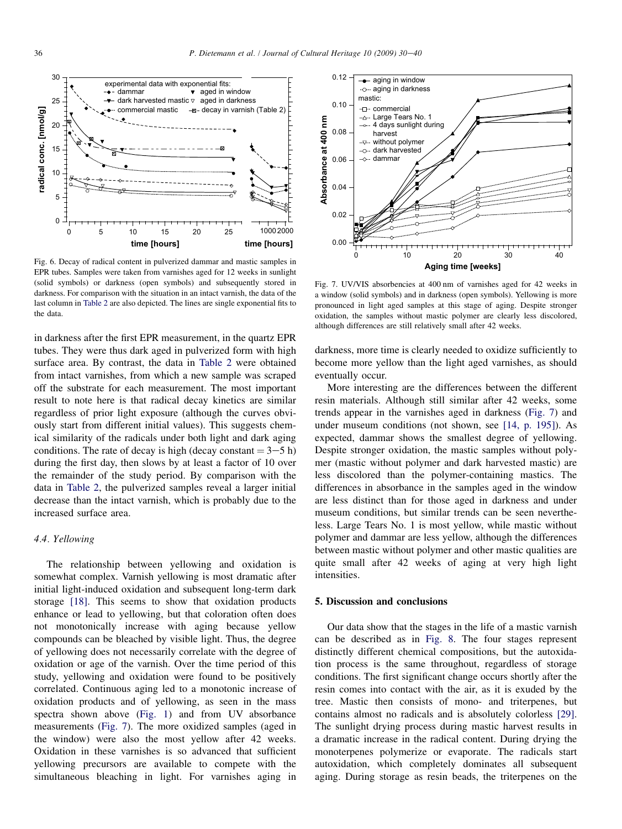<span id="page-6-0"></span>

Fig. 6. Decay of radical content in pulverized dammar and mastic samples in EPR tubes. Samples were taken from varnishes aged for 12 weeks in sunlight (solid symbols) or darkness (open symbols) and subsequently stored in darkness. For comparison with the situation in an intact varnish, the data of the last column in [Table 2](#page-5-0) are also depicted. The lines are single exponential fits to the data.

in darkness after the first EPR measurement, in the quartz EPR tubes. They were thus dark aged in pulverized form with high surface area. By contrast, the data in [Table 2](#page-5-0) were obtained from intact varnishes, from which a new sample was scraped off the substrate for each measurement. The most important result to note here is that radical decay kinetics are similar regardless of prior light exposure (although the curves obviously start from different initial values). This suggests chemical similarity of the radicals under both light and dark aging conditions. The rate of decay is high (decay constant  $= 3-5$  h) during the first day, then slows by at least a factor of 10 over the remainder of the study period. By comparison with the data in [Table 2,](#page-5-0) the pulverized samples reveal a larger initial decrease than the intact varnish, which is probably due to the increased surface area.

# 4.4. Yellowing

The relationship between yellowing and oxidation is somewhat complex. Varnish yellowing is most dramatic after initial light-induced oxidation and subsequent long-term dark storage [\[18\].](#page-10-0) This seems to show that oxidation products enhance or lead to yellowing, but that coloration often does not monotonically increase with aging because yellow compounds can be bleached by visible light. Thus, the degree of yellowing does not necessarily correlate with the degree of oxidation or age of the varnish. Over the time period of this study, yellowing and oxidation were found to be positively correlated. Continuous aging led to a monotonic increase of oxidation products and of yellowing, as seen in the mass spectra shown above ([Fig. 1](#page-2-0)) and from UV absorbance measurements (Fig. 7). The more oxidized samples (aged in the window) were also the most yellow after 42 weeks. Oxidation in these varnishes is so advanced that sufficient yellowing precursors are available to compete with the simultaneous bleaching in light. For varnishes aging in



Fig. 7. UV/VIS absorbencies at 400 nm of varnishes aged for 42 weeks in a window (solid symbols) and in darkness (open symbols). Yellowing is more pronounced in light aged samples at this stage of aging. Despite stronger oxidation, the samples without mastic polymer are clearly less discolored, although differences are still relatively small after 42 weeks.

darkness, more time is clearly needed to oxidize sufficiently to become more yellow than the light aged varnishes, as should eventually occur.

More interesting are the differences between the different resin materials. Although still similar after 42 weeks, some trends appear in the varnishes aged in darkness (Fig. 7) and under museum conditions (not shown, see [\[14, p. 195\]\)](#page-10-0). As expected, dammar shows the smallest degree of yellowing. Despite stronger oxidation, the mastic samples without polymer (mastic without polymer and dark harvested mastic) are less discolored than the polymer-containing mastics. The differences in absorbance in the samples aged in the window are less distinct than for those aged in darkness and under museum conditions, but similar trends can be seen nevertheless. Large Tears No. 1 is most yellow, while mastic without polymer and dammar are less yellow, although the differences between mastic without polymer and other mastic qualities are quite small after 42 weeks of aging at very high light intensities.

## 5. Discussion and conclusions

Our data show that the stages in the life of a mastic varnish can be described as in [Fig. 8](#page-7-0). The four stages represent distinctly different chemical compositions, but the autoxidation process is the same throughout, regardless of storage conditions. The first significant change occurs shortly after the resin comes into contact with the air, as it is exuded by the tree. Mastic then consists of mono- and triterpenes, but contains almost no radicals and is absolutely colorless [\[29\]](#page-10-0). The sunlight drying process during mastic harvest results in a dramatic increase in the radical content. During drying the monoterpenes polymerize or evaporate. The radicals start autoxidation, which completely dominates all subsequent aging. During storage as resin beads, the triterpenes on the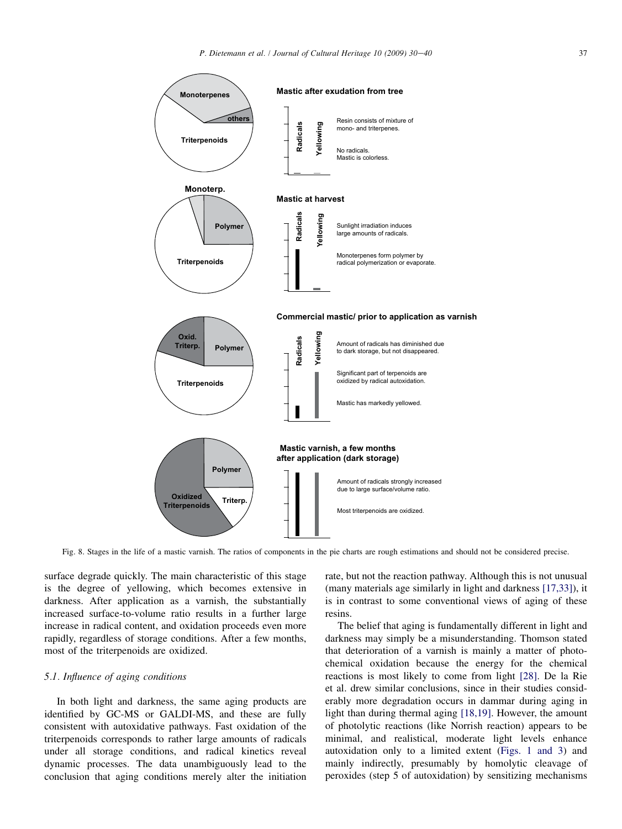<span id="page-7-0"></span>

Fig. 8. Stages in the life of a mastic varnish. The ratios of components in the pie charts are rough estimations and should not be considered precise.

surface degrade quickly. The main characteristic of this stage is the degree of yellowing, which becomes extensive in darkness. After application as a varnish, the substantially increased surface-to-volume ratio results in a further large increase in radical content, and oxidation proceeds even more rapidly, regardless of storage conditions. After a few months, most of the triterpenoids are oxidized.

## 5.1. Influence of aging conditions

In both light and darkness, the same aging products are identified by GC-MS or GALDI-MS, and these are fully consistent with autoxidative pathways. Fast oxidation of the triterpenoids corresponds to rather large amounts of radicals under all storage conditions, and radical kinetics reveal dynamic processes. The data unambiguously lead to the conclusion that aging conditions merely alter the initiation rate, but not the reaction pathway. Although this is not unusual (many materials age similarly in light and darkness [\[17,33\]\)](#page-10-0), it is in contrast to some conventional views of aging of these resins.

The belief that aging is fundamentally different in light and darkness may simply be a misunderstanding. Thomson stated that deterioration of a varnish is mainly a matter of photochemical oxidation because the energy for the chemical reactions is most likely to come from light [\[28\].](#page-10-0) De la Rie et al. drew similar conclusions, since in their studies considerably more degradation occurs in dammar during aging in light than during thermal aging [\[18,19\]](#page-10-0). However, the amount of photolytic reactions (like Norrish reaction) appears to be minimal, and realistical, moderate light levels enhance autoxidation only to a limited extent ([Figs. 1 and 3](#page-2-0)) and mainly indirectly, presumably by homolytic cleavage of peroxides (step 5 of autoxidation) by sensitizing mechanisms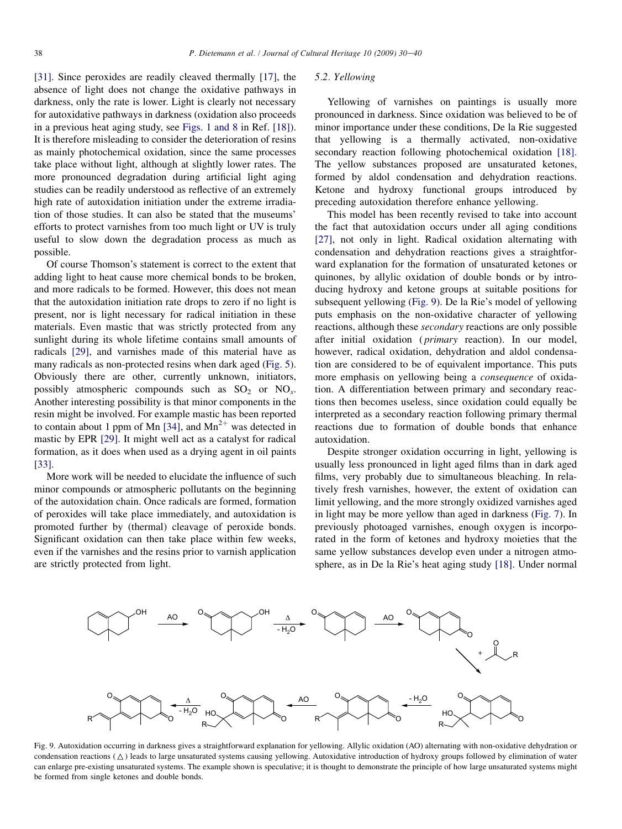[\[31\]](#page-10-0). Since peroxides are readily cleaved thermally [\[17\]](#page-10-0), the absence of light does not change the oxidative pathways in darkness, only the rate is lower. Light is clearly not necessary for autoxidative pathways in darkness (oxidation also proceeds in a previous heat aging study, see [Figs. 1 and 8](#page-2-0) in Ref. [\[18\]\)](#page-10-0). It is therefore misleading to consider the deterioration of resins as mainly photochemical oxidation, since the same processes take place without light, although at slightly lower rates. The more pronounced degradation during artificial light aging studies can be readily understood as reflective of an extremely high rate of autoxidation initiation under the extreme irradiation of those studies. It can also be stated that the museums' efforts to protect varnishes from too much light or UV is truly useful to slow down the degradation process as much as possible.

Of course Thomson's statement is correct to the extent that adding light to heat cause more chemical bonds to be broken, and more radicals to be formed. However, this does not mean that the autoxidation initiation rate drops to zero if no light is present, nor is light necessary for radical initiation in these materials. Even mastic that was strictly protected from any sunlight during its whole lifetime contains small amounts of radicals [\[29\]](#page-10-0), and varnishes made of this material have as many radicals as non-protected resins when dark aged ([Fig. 5\)](#page-5-0). Obviously there are other, currently unknown, initiators, possibly atmospheric compounds such as  $SO_2$  or  $NO_r$ . Another interesting possibility is that minor components in the resin might be involved. For example mastic has been reported to contain about 1 ppm of Mn [\[34\],](#page-10-0) and  $Mn^{2+}$  was detected in mastic by EPR [\[29\].](#page-10-0) It might well act as a catalyst for radical formation, as it does when used as a drying agent in oil paints [\[33\]](#page-10-0).

More work will be needed to elucidate the influence of such minor compounds or atmospheric pollutants on the beginning of the autoxidation chain. Once radicals are formed, formation of peroxides will take place immediately, and autoxidation is promoted further by (thermal) cleavage of peroxide bonds. Significant oxidation can then take place within few weeks, even if the varnishes and the resins prior to varnish application are strictly protected from light.

## 5.2. Yellowing

Yellowing of varnishes on paintings is usually more pronounced in darkness. Since oxidation was believed to be of minor importance under these conditions, De la Rie suggested that yellowing is a thermally activated, non-oxidative secondary reaction following photochemical oxidation [\[18\]](#page-10-0). The yellow substances proposed are unsaturated ketones, formed by aldol condensation and dehydration reactions. Ketone and hydroxy functional groups introduced by preceding autoxidation therefore enhance yellowing.

This model has been recently revised to take into account the fact that autoxidation occurs under all aging conditions [\[27\]](#page-10-0), not only in light. Radical oxidation alternating with condensation and dehydration reactions gives a straightforward explanation for the formation of unsaturated ketones or quinones, by allylic oxidation of double bonds or by introducing hydroxy and ketone groups at suitable positions for subsequent yellowing (Fig. 9). De la Rie's model of yellowing puts emphasis on the non-oxidative character of yellowing reactions, although these secondary reactions are only possible after initial oxidation ( primary reaction). In our model, however, radical oxidation, dehydration and aldol condensation are considered to be of equivalent importance. This puts more emphasis on yellowing being a consequence of oxidation. A differentiation between primary and secondary reactions then becomes useless, since oxidation could equally be interpreted as a secondary reaction following primary thermal reactions due to formation of double bonds that enhance autoxidation.

Despite stronger oxidation occurring in light, yellowing is usually less pronounced in light aged films than in dark aged films, very probably due to simultaneous bleaching. In relatively fresh varnishes, however, the extent of oxidation can limit yellowing, and the more strongly oxidized varnishes aged in light may be more yellow than aged in darkness [\(Fig. 7\)](#page-6-0). In previously photoaged varnishes, enough oxygen is incorporated in the form of ketones and hydroxy moieties that the same yellow substances develop even under a nitrogen atmosphere, as in De la Rie's heat aging study [\[18\].](#page-10-0) Under normal



Fig. 9. Autoxidation occurring in darkness gives a straightforward explanation for yellowing. Allylic oxidation (AO) alternating with non-oxidative dehydration or condensation reactions  $(\triangle)$  leads to large unsaturated systems causing yellowing. Autoxidative introduction of hydroxy groups followed by elimination of water can enlarge pre-existing unsaturated systems. The example shown is speculative; it is thought to demonstrate the principle of how large unsaturated systems might be formed from single ketones and double bonds.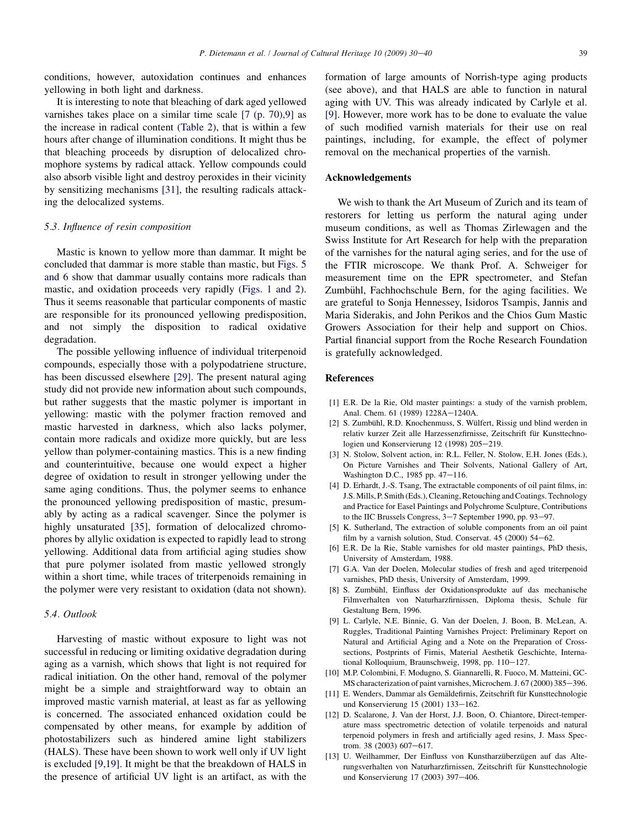<span id="page-9-0"></span>conditions, however, autoxidation continues and enhances yellowing in both light and darkness.

It is interesting to note that bleaching of dark aged yellowed varnishes takes place on a similar time scale [7 (p. 70),9] as the increase in radical content [\(Table 2\)](#page-5-0), that is within a few hours after change of illumination conditions. It might thus be that bleaching proceeds by disruption of delocalized chromophore systems by radical attack. Yellow compounds could also absorb visible light and destroy peroxides in their vicinity by sensitizing mechanisms [\[31\],](#page-10-0) the resulting radicals attacking the delocalized systems.

### 5.3. Influence of resin composition

Mastic is known to yellow more than dammar. It might be concluded that dammar is more stable than mastic, but [Figs. 5](#page-5-0) [and 6](#page-5-0) show that dammar usually contains more radicals than mastic, and oxidation proceeds very rapidly ([Figs. 1 and 2\)](#page-2-0). Thus it seems reasonable that particular components of mastic are responsible for its pronounced yellowing predisposition, and not simply the disposition to radical oxidative degradation.

The possible yellowing influence of individual triterpenoid compounds, especially those with a polypodatriene structure, has been discussed elsewhere [\[29\].](#page-10-0) The present natural aging study did not provide new information about such compounds, but rather suggests that the mastic polymer is important in yellowing: mastic with the polymer fraction removed and mastic harvested in darkness, which also lacks polymer, contain more radicals and oxidize more quickly, but are less yellow than polymer-containing mastics. This is a new finding and counterintuitive, because one would expect a higher degree of oxidation to result in stronger yellowing under the same aging conditions. Thus, the polymer seems to enhance the pronounced yellowing predisposition of mastic, presumably by acting as a radical scavenger. Since the polymer is highly unsaturated [\[35\],](#page-10-0) formation of delocalized chromophores by allylic oxidation is expected to rapidly lead to strong yellowing. Additional data from artificial aging studies show that pure polymer isolated from mastic yellowed strongly within a short time, while traces of triterpenoids remaining in the polymer were very resistant to oxidation (data not shown).

# 5.4. Outlook

Harvesting of mastic without exposure to light was not successful in reducing or limiting oxidative degradation during aging as a varnish, which shows that light is not required for radical initiation. On the other hand, removal of the polymer might be a simple and straightforward way to obtain an improved mastic varnish material, at least as far as yellowing is concerned. The associated enhanced oxidation could be compensated by other means, for example by addition of photostabilizers such as hindered amine light stabilizers (HALS). These have been shown to work well only if UV light is excluded [9,19]. It might be that the breakdown of HALS in the presence of artificial UV light is an artifact, as with the formation of large amounts of Norrish-type aging products (see above), and that HALS are able to function in natural aging with UV. This was already indicated by Carlyle et al. [9]. However, more work has to be done to evaluate the value of such modified varnish materials for their use on real paintings, including, for example, the effect of polymer removal on the mechanical properties of the varnish.

# Acknowledgements

We wish to thank the Art Museum of Zurich and its team of restorers for letting us perform the natural aging under museum conditions, as well as Thomas Zirlewagen and the Swiss Institute for Art Research for help with the preparation of the varnishes for the natural aging series, and for the use of the FTIR microscope. We thank Prof. A. Schweiger for measurement time on the EPR spectrometer, and Stefan Zumbühl, Fachhochschule Bern, for the aging facilities. We are grateful to Sonja Hennessey, Isidoros Tsampis, Jannis and Maria Siderakis, and John Perikos and the Chios Gum Mastic Growers Association for their help and support on Chios. Partial financial support from the Roche Research Foundation is gratefully acknowledged.

## References

- [1] E.R. De la Rie, Old master paintings: a study of the varnish problem, Anal. Chem. 61 (1989) 1228A-1240A.
- [2] S. Zumbühl, R.D. Knochenmuss, S. Wülfert, Rissig und blind werden in relativ kurzer Zeit alle Harzessenzfirnisse, Zeitschrift für Kunsttechnologien und Konservierung 12 (1998) 205-219.
- [3] N. Stolow, Solvent action, in: R.L. Feller, N. Stolow, E.H. Jones (Eds.), On Picture Varnishes and Their Solvents, National Gallery of Art, Washington D.C., 1985 pp. 47-116.
- [4] D. Erhardt, J.-S. Tsang, The extractable components of oil paint films, in: J.S.Mills, P. Smith (Eds.), Cleaning, Retouching and Coatings. Technology and Practice for Easel Paintings and Polychrome Sculpture, Contributions to the IIC Brussels Congress,  $3-7$  September 1990, pp. 93-97.
- [5] K. Sutherland, The extraction of soluble components from an oil paint film by a varnish solution, Stud. Conservat.  $45$  (2000)  $54-62$ .
- [6] E.R. De la Rie, Stable varnishes for old master paintings, PhD thesis, University of Amsterdam, 1988.
- [7] G.A. Van der Doelen, Molecular studies of fresh and aged triterpenoid varnishes, PhD thesis, University of Amsterdam, 1999.
- [8] S. Zumbühl, Einfluss der Oxidationsprodukte auf das mechanische Filmverhalten von Naturharzfirnissen, Diploma thesis, Schule für Gestaltung Bern, 1996.
- [9] L. Carlyle, N.E. Binnie, G. Van der Doelen, J. Boon, B. McLean, A. Ruggles, Traditional Painting Varnishes Project: Preliminary Report on Natural and Artificial Aging and a Note on the Preparation of Crosssections, Postprints of Firnis, Material Aesthetik Geschichte, International Kolloquium, Braunschweig, 1998, pp. 110-127.
- [10] M.P. Colombini, F. Modugno, S. Giannarelli, R. Fuoco, M. Matteini, GC-MS characterization of paint varnishes, Microchem. J. 67 (2000) 385-396.
- [11] E. Wenders, Dammar als Gemäldefirnis, Zeitschrift für Kunsttechnologie und Konservierung 15 (2001) 133-162.
- [12] D. Scalarone, J. Van der Horst, J.J. Boon, O. Chiantore, Direct-temperature mass spectrometric detection of volatile terpenoids and natural terpenoid polymers in fresh and artificially aged resins, J. Mass Spectrom. 38 (2003) 607-617.
- [13] U. Weilhammer, Der Einfluss von Kunstharzüberzügen auf das Alterungsverhalten von Naturharzfirnissen, Zeitschrift für Kunsttechnologie und Konservierung 17 (2003) 397-406.